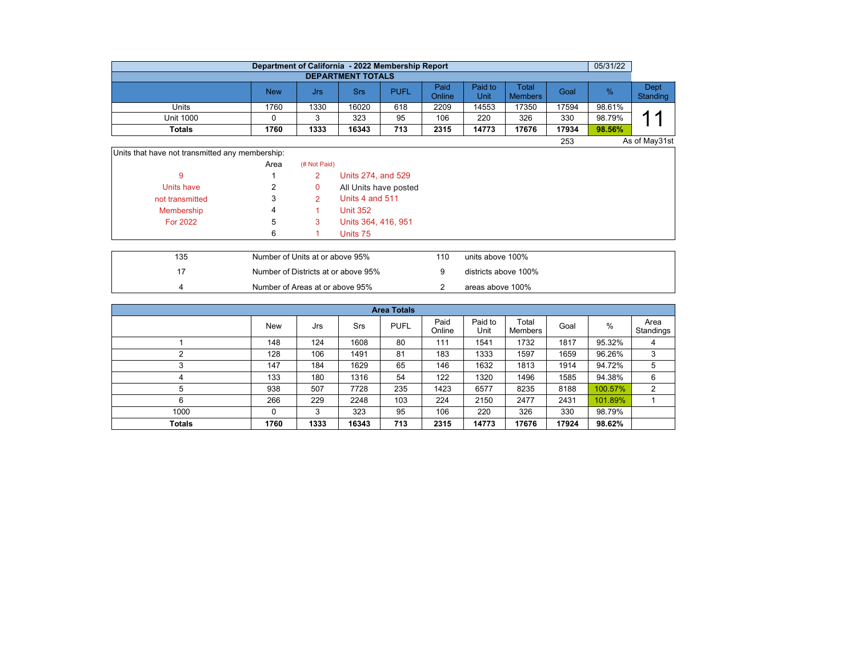|                  | Department of California - 2022 Membership Report |      |       |             |                |                 |                         |       | 05/31/22 |                  |  |  |  |  |
|------------------|---------------------------------------------------|------|-------|-------------|----------------|-----------------|-------------------------|-------|----------|------------------|--|--|--|--|
|                  | <b>DEPARTMENT TOTALS</b>                          |      |       |             |                |                 |                         |       |          |                  |  |  |  |  |
|                  | <b>New</b>                                        | Jrs  | Srs   | <b>PUFL</b> | Paid<br>Online | Paid to<br>Unit | Total<br><b>Members</b> | Goal  | %        | Dept<br>Standing |  |  |  |  |
| Units            | 1760                                              | 1330 | 16020 | 618         | 2209           | 14553           | 17350                   | 17594 | 98.61%   |                  |  |  |  |  |
| <b>Unit 1000</b> |                                                   |      | 323   | 95          | 106            | 220             | 326                     | 330   | 98.79%   | ◢                |  |  |  |  |
| <b>Totals</b>    | 1760                                              | 1333 | 16343 | 713         | 2315           | 14773           | 17676                   | 17934 | 98.56%   |                  |  |  |  |  |
|                  |                                                   |      |       |             |                |                 |                         | 253   |          | As of May31st    |  |  |  |  |

Units that have not transmitted any membership:

|                 | Area | (# Not Paid) |                       |
|-----------------|------|--------------|-----------------------|
| 9               |      | 2            | Units 274, and 529    |
| Units have      | 2    | 0            | All Units have posted |
| not transmitted | 3    |              | Units 4 and 511       |
| Membership      | 4    |              | <b>Unit 352</b>       |
| For 2022        | 5    | 3            | Units 364, 416, 951   |
|                 | 6    |              | Units 75              |

| 135 | Number of Units at or above 95%     | 110 | units above 100%     |
|-----|-------------------------------------|-----|----------------------|
|     | Number of Districts at or above 95% |     | districts above 100% |
|     | Number of Areas at or above 95%     |     | areas above 100%     |

| <b>Area Totals</b> |      |      |            |             |                |                 |                  |       |         |                   |  |  |  |
|--------------------|------|------|------------|-------------|----------------|-----------------|------------------|-------|---------|-------------------|--|--|--|
|                    | New  | Jrs  | <b>Srs</b> | <b>PUFL</b> | Paid<br>Online | Paid to<br>Unit | Total<br>Members | Goal  | %       | Area<br>Standings |  |  |  |
|                    | 148  | 124  | 1608       | 80          | 111            | 1541            | 1732             | 1817  | 95.32%  | 4                 |  |  |  |
| ົ                  | 128  | 106  | 1491       | 81          | 183            | 1333            | 1597             | 1659  | 96.26%  | 3                 |  |  |  |
| 3                  | 147  | 184  | 1629       | 65          | 146            | 1632            | 1813             | 1914  | 94.72%  | 5                 |  |  |  |
| 4                  | 133  | 180  | 1316       | 54          | 122            | 1320            | 1496             | 1585  | 94.38%  | 6                 |  |  |  |
| 5                  | 938  | 507  | 7728       | 235         | 1423           | 6577            | 8235             | 8188  | 100.57% | 2                 |  |  |  |
| 6                  | 266  | 229  | 2248       | 103         | 224            | 2150            | 2477             | 2431  | 101.89% |                   |  |  |  |
| 1000               | 0    | 3    | 323        | 95          | 106            | 220             | 326              | 330   | 98.79%  |                   |  |  |  |
| <b>Totals</b>      | 1760 | 1333 | 16343      | 713         | 2315           | 14773           | 17676            | 17924 | 98.62%  |                   |  |  |  |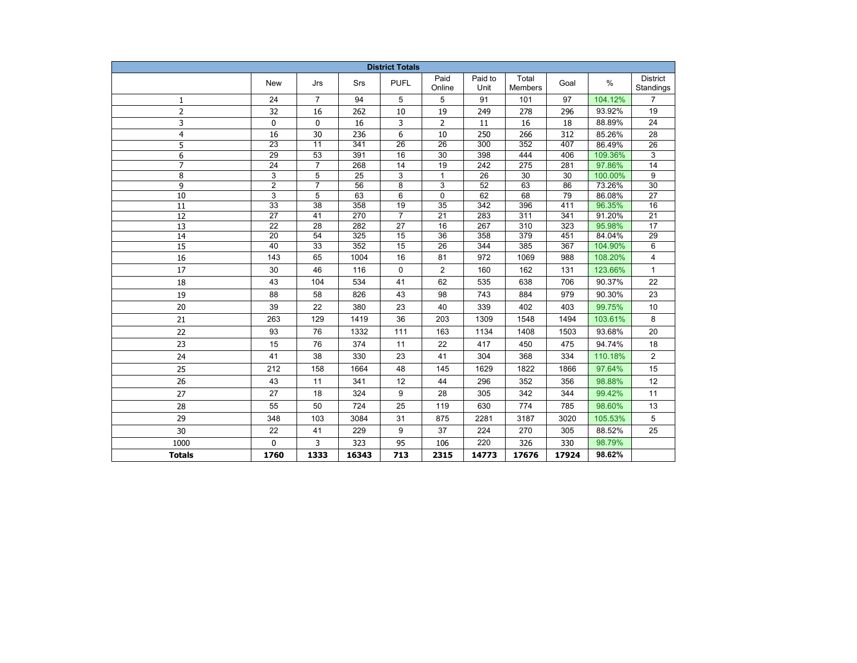| <b>District Totals</b> |                       |                 |                  |                 |                       |                  |                  |            |                  |                       |
|------------------------|-----------------------|-----------------|------------------|-----------------|-----------------------|------------------|------------------|------------|------------------|-----------------------|
|                        | <b>New</b>            | Jrs             | Srs              | <b>PUFL</b>     | Paid<br>Online        | Paid to<br>Unit  | Total<br>Members | Goal       | $\%$             | District<br>Standings |
| $\mathbf{1}$           | 24                    | $\overline{7}$  | 94               | 5               | 5                     | 91               | 101              | 97         | 104.12%          | $\overline{7}$        |
| $\overline{2}$         | 32                    | 16              | 262              | 10              | 19                    | 249              | 278              | 296        | 93.92%           | 19                    |
| 3                      | 0                     | 0               | 16               | 3               | 2                     | 11               | 16               | 18         | 88.89%           | 24                    |
| $\overline{4}$         | 16                    | 30              | 236              | 6               | 10                    | 250              | 266              | 312        | 85.26%           | 28                    |
| 5                      | $\overline{23}$       | $\overline{11}$ | $\overline{341}$ | $\overline{26}$ | $\overline{26}$       | 300              | 352              | 407        | 86.49%           | 26                    |
| 6                      | $\overline{29}$       | $\overline{53}$ | 391              | 16              | $\overline{30}$       | 398              | 444              | 406        | 109.36%          | 3                     |
| $\overline{7}$         | $\overline{24}$       | $\overline{7}$  | 268              | 14              | $\overline{19}$       | $\overline{242}$ | $\overline{275}$ | 281        | 97.86%           | $\overline{14}$       |
| 8                      | $\overline{3}$        | 5               | $\overline{25}$  | 3               | $\mathbf{1}$          | $\overline{26}$  | $\overline{30}$  | 30         | 100.00%          | 9                     |
| 9                      | $\overline{c}$        | $\overline{7}$  | 56               | 8               | 3                     | 52               | 63               | 86         | 73.26%           | 30                    |
| 10                     | $\overline{3}$        | 5               | 63               | 6               | 0                     | 62               | 68               | 79         | 86.08%           | 27                    |
| 11                     | 33                    | 38              | 358              | 19              | 35                    | 342              | 396              | 411        | 96.35%           | 16                    |
| 12                     | 27                    | 41              | 270              | $\overline{7}$  | 21                    | 283              | 311              | 341        | 91.20%           | 21                    |
| 13<br>14               | 22<br>$\overline{20}$ | 28<br>54        | 282<br>325       | 27<br>15        | 16<br>$\overline{36}$ | 267<br>358       | 310<br>379       | 323<br>451 | 95.98%<br>84.04% | 17<br>$\overline{29}$ |
| $\overline{15}$        | $\overline{40}$       | $\overline{33}$ | 352              | 15              | $\overline{26}$       | 344              | 385              | 367        | 104.90%          | 6                     |
| 16                     | 143                   | 65              | 1004             | 16              | 81                    | 972              | 1069             | 988        | 108.20%          | 4                     |
| 17                     | 30                    | 46              | 116              | 0               | $\overline{2}$        | 160              | 162              | 131        | 123.66%          | $\mathbf{1}$          |
| 18                     | 43                    | 104             | 534              | 41              | 62                    | 535              | 638              | 706        | 90.37%           | 22                    |
| 19                     | 88                    | 58              | 826              | 43              | 98                    | 743              | 884              | 979        | 90.30%           | 23                    |
| 20                     | 39                    | 22              | 380              | 23              | 40                    | 339              | 402              | 403        | 99.75%           | 10                    |
| 21                     | 263                   | 129             | 1419             | 36              | 203                   | 1309             | 1548             | 1494       | 103.61%          | 8                     |
|                        |                       |                 |                  |                 |                       |                  |                  |            |                  |                       |
| 22                     | 93                    | 76              | 1332             | 111             | 163                   | 1134             | 1408             | 1503       | 93.68%           | 20                    |
| 23                     | 15                    | 76              | 374              | 11              | 22                    | 417              | 450              | 475        | 94.74%           | 18                    |
| 24                     | 41                    | 38              | 330              | 23              | 41                    | 304              | 368              | 334        | 110.18%          | $\overline{2}$        |
| 25                     | 212                   | 158             | 1664             | 48              | 145                   | 1629             | 1822             | 1866       | 97.64%           | 15                    |
| 26                     | 43                    | 11              | 341              | 12              | 44                    | 296              | 352              | 356        | 98.88%           | 12                    |
| 27                     | 27                    | 18              | 324              | 9               | 28                    | 305              | 342              | 344        | 99.42%           | 11                    |
| 28                     | 55                    | 50              | 724              | 25              | 119                   | 630              | 774              | 785        | 98.60%           | 13                    |
| 29                     | 348                   | 103             | 3084             | 31              | 875                   | 2281             | 3187             | 3020       | 105.53%          | 5                     |
| 30                     | 22                    | 41              | 229              | 9               | 37                    | 224              | 270              | 305        | 88.52%           | 25                    |
| 1000                   | 0                     | 3               | 323              | 95              | 106                   | 220              | 326              | 330        | 98.79%           |                       |
| <b>Totals</b>          | 1760                  | 1333            | 16343            | 713             | 2315                  | 14773            | 17676            | 17924      | 98.62%           |                       |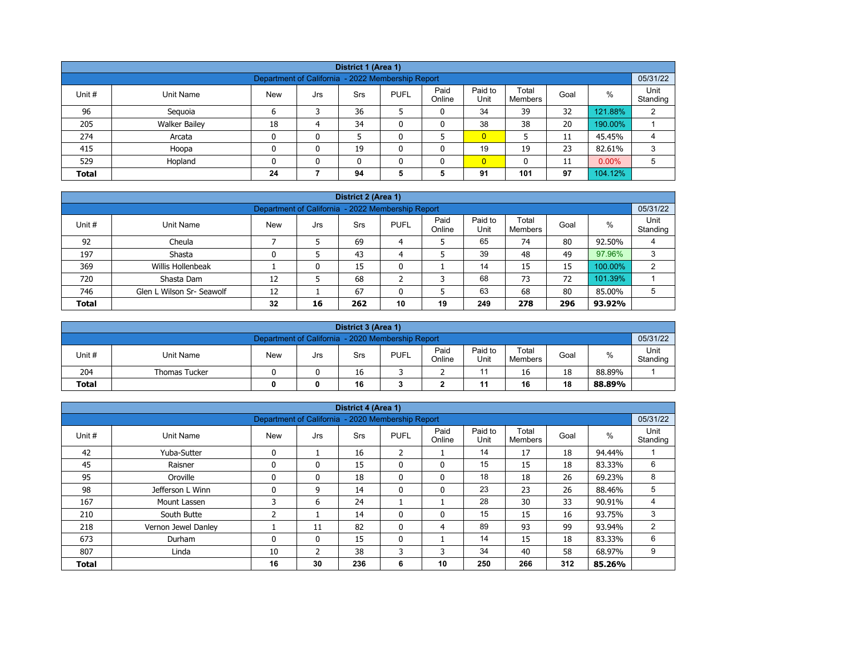| District 1 (Area 1)                                                                                                                                   |                                                                                 |    |   |    |   |   |                |     |    |         |   |  |  |
|-------------------------------------------------------------------------------------------------------------------------------------------------------|---------------------------------------------------------------------------------|----|---|----|---|---|----------------|-----|----|---------|---|--|--|
| 05/31/22<br>Department of California - 2022 Membership Report                                                                                         |                                                                                 |    |   |    |   |   |                |     |    |         |   |  |  |
| Paid<br>Paid to<br>Total<br>$\%$<br>Unit #<br><b>PUFL</b><br>Goal<br>Unit Name<br><b>New</b><br><b>Srs</b><br>Jrs<br>Online<br>Unit<br><b>Members</b> |                                                                                 |    |   |    |   |   |                |     |    |         |   |  |  |
| 96                                                                                                                                                    | Seguoia                                                                         | 6  |   | 36 |   | 0 | 34             | 39  | 32 | 121.88% | 2 |  |  |
| 205                                                                                                                                                   | <b>Walker Bailey</b>                                                            | 18 | 4 | 34 | ٥ | 0 | 38             | 38  | 20 | 190.00% |   |  |  |
| 274                                                                                                                                                   | Arcata                                                                          | 0  | 0 |    |   |   | $\overline{0}$ |     | 11 | 45.45%  | 4 |  |  |
| 415                                                                                                                                                   | Hoopa                                                                           | 0  | 0 | 19 | ٥ | 0 | 19             | 19  | 23 | 82.61%  | 3 |  |  |
| 529                                                                                                                                                   | $\overline{0}$<br>$0.00\%$<br>Hopland<br>5<br>0<br>$\mathbf{0}$<br>11<br>n<br>0 |    |   |    |   |   |                |     |    |         |   |  |  |
| <b>Total</b>                                                                                                                                          |                                                                                 | 24 |   | 94 | 5 | 5 | 91             | 101 | 97 | 104.12% |   |  |  |

| District 2 (Area 1) |                                                                                                                                                   |    |    |     |    |    |     |     |     |         |    |  |  |  |
|---------------------|---------------------------------------------------------------------------------------------------------------------------------------------------|----|----|-----|----|----|-----|-----|-----|---------|----|--|--|--|
|                     | 05/31/22<br>Department of California - 2022 Membership Report                                                                                     |    |    |     |    |    |     |     |     |         |    |  |  |  |
| Unit #              | Paid<br>Paid to<br>Total<br>Unit<br>$\%$<br><b>PUFL</b><br><b>New</b><br>Unit Name<br>Srs<br>Goal<br>Jrs<br>Unit<br>Standing<br>Online<br>Members |    |    |     |    |    |     |     |     |         |    |  |  |  |
| 92                  | Cheula                                                                                                                                            |    |    | 69  | 4  |    | 65  | 74  | 80  | 92.50%  |    |  |  |  |
| 197                 | Shasta                                                                                                                                            |    |    | 43  | 4  |    | 39  | 48  | 49  | 97.96%  |    |  |  |  |
| 369                 | Willis Hollenbeak                                                                                                                                 |    | 0  | 15  | 0  |    | 14  | 15  | 15  | 100.00% | C. |  |  |  |
| 720                 | Shasta Dam                                                                                                                                        | 12 |    | 68  | ີ  | 3  | 68  | 73  | 72  | 101.39% |    |  |  |  |
| 746                 | 67<br>63<br>68<br>80<br>Glen L Wilson Sr- Seawolf<br>12<br>5<br>85.00%<br>5<br>0                                                                  |    |    |     |    |    |     |     |     |         |    |  |  |  |
| <b>Total</b>        |                                                                                                                                                   | 32 | 16 | 262 | 10 | 19 | 249 | 278 | 296 | 93.92%  |    |  |  |  |

| District 3 (Area 1)                                           |                                     |            |     |     |             |                |                 |                         |      |        |                  |  |
|---------------------------------------------------------------|-------------------------------------|------------|-----|-----|-------------|----------------|-----------------|-------------------------|------|--------|------------------|--|
| 05/31/22<br>Department of California - 2020 Membership Report |                                     |            |     |     |             |                |                 |                         |      |        |                  |  |
| Unit#                                                         | Unit Name                           | <b>New</b> | Jrs | Srs | <b>PUFL</b> | Paid<br>Online | Paid to<br>Unit | Total<br><b>Members</b> | Goal | %      | Unit<br>Standing |  |
| 204                                                           | <b>Thomas Tucker</b>                |            |     | 16  |             |                |                 | 16                      | 18   | 88.89% |                  |  |
| <b>Total</b>                                                  | 16<br>18<br>16<br>11<br>88.89%<br>0 |            |     |     |             |                |                 |                         |      |        |                  |  |

|              |                                                                                                                                                          |                                                   |                | District 4 (Area 1) |                |              |     |     |     |        |          |  |
|--------------|----------------------------------------------------------------------------------------------------------------------------------------------------------|---------------------------------------------------|----------------|---------------------|----------------|--------------|-----|-----|-----|--------|----------|--|
|              |                                                                                                                                                          | Department of California - 2020 Membership Report |                |                     |                |              |     |     |     |        | 05/31/22 |  |
| Unit#        | Paid to<br>Unit<br>Paid<br>Total<br>$\%$<br><b>PUFL</b><br><b>Unit Name</b><br><b>New</b><br>Srs<br>Goal<br>Jrs<br>Unit<br>Online<br>Standing<br>Members |                                                   |                |                     |                |              |     |     |     |        |          |  |
| 42           | Yuba-Sutter                                                                                                                                              | $\mathbf{0}$                                      |                | 16                  | $\overline{2}$ |              | 14  | 17  | 18  | 94.44% |          |  |
| 45           | Raisner                                                                                                                                                  | $\mathbf{0}$                                      | 0              | 15                  | $\mathbf{0}$   | $\mathbf{0}$ | 15  | 15  | 18  | 83.33% | 6        |  |
| 95           | Oroville                                                                                                                                                 | $\Omega$                                          | 0              | 18                  | $\mathbf{0}$   | $\mathbf{0}$ | 18  | 18  | 26  | 69.23% | 8        |  |
| 98           | Jefferson L Winn                                                                                                                                         | $\mathbf{0}$                                      | 9              | 14                  | 0              | 0            | 23  | 23  | 26  | 88.46% | 5        |  |
| 167          | Mount Lassen                                                                                                                                             | 3                                                 | 6              | 24                  |                |              | 28  | 30  | 33  | 90.91% | 4        |  |
| 210          | South Butte                                                                                                                                              | 2                                                 |                | 14                  | $\mathbf{0}$   | 0            | 15  | 15  | 16  | 93.75% | 3        |  |
| 218          | Vernon Jewel Danley                                                                                                                                      |                                                   | 11             | 82                  | $\mathbf{0}$   | 4            | 89  | 93  | 99  | 93.94% | 2        |  |
| 673          | Durham                                                                                                                                                   | $\mathbf{0}$                                      | $\mathbf{0}$   | 15                  | $\mathbf{0}$   |              | 14  | 15  | 18  | 83.33% | 6        |  |
| 807          | Linda                                                                                                                                                    | 10                                                | $\overline{2}$ | 38                  | 3              | 3            | 34  | 40  | 58  | 68.97% | 9        |  |
| <b>Total</b> |                                                                                                                                                          | 16                                                | 30             | 236                 | 6              | 10           | 250 | 266 | 312 | 85.26% |          |  |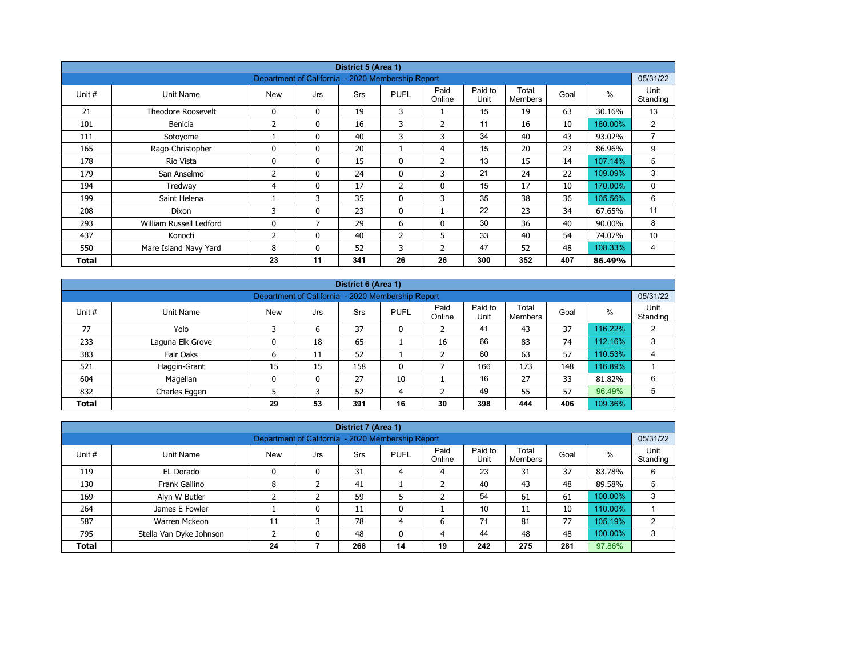| District 5 (Area 1) |                           |                                                   |              |            |                |                |                 |                         |      |         |                  |  |
|---------------------|---------------------------|---------------------------------------------------|--------------|------------|----------------|----------------|-----------------|-------------------------|------|---------|------------------|--|
|                     |                           | Department of California - 2020 Membership Report |              |            |                |                |                 |                         |      |         | 05/31/22         |  |
| Unit #              | Unit Name                 | <b>New</b>                                        | Jrs          | <b>Srs</b> | <b>PUFL</b>    | Paid<br>Online | Paid to<br>Unit | Total<br><b>Members</b> | Goal | $\%$    | Unit<br>Standing |  |
| 21                  | <b>Theodore Roosevelt</b> | 0                                                 | $\mathbf{0}$ | 19         | 3              |                | 15              | 19                      | 63   | 30.16%  | 13               |  |
| 101                 | Benicia                   | 2                                                 | 0            | 16         | 3              | $\overline{2}$ | 11              | 16                      | 10   | 160.00% | $\overline{2}$   |  |
| 111                 | Sotoyome                  |                                                   | $\mathbf{0}$ | 40         | 3              | 3              | 34              | 40                      | 43   | 93.02%  | $\overline{7}$   |  |
| 165                 | Rago-Christopher          | $\Omega$                                          | $\mathbf{0}$ | 20         |                | 4              | 15              | 20                      | 23   | 86.96%  | 9                |  |
| 178                 | Rio Vista                 | 0                                                 | 0            | 15         | 0              | $\overline{2}$ | 13              | 15                      | 14   | 107.14% | 5                |  |
| 179                 | San Anselmo               | 2                                                 | $\mathbf{0}$ | 24         | $\mathbf{0}$   | 3              | 21              | 24                      | 22   | 109.09% | 3                |  |
| 194                 | Tredway                   | 4                                                 | 0            | 17         | $\overline{2}$ | $\mathbf 0$    | 15              | 17                      | 10   | 170.00% | 0                |  |
| 199                 | Saint Helena              |                                                   | 3            | 35         | $\mathbf{0}$   | 3              | 35              | 38                      | 36   | 105.56% | 6                |  |
| 208                 | Dixon                     | 3                                                 | $\mathbf{0}$ | 23         | $\mathbf{0}$   |                | 22              | 23                      | 34   | 67.65%  | 11               |  |
| 293                 | William Russell Ledford   | $\mathbf{0}$                                      | 7            | 29         | 6              | $\mathbf{0}$   | 30              | 36                      | 40   | 90.00%  | 8                |  |
| 437                 | Konocti                   | 2                                                 | $\mathbf{0}$ | 40         | $\overline{2}$ | 5              | 33              | 40                      | 54   | 74.07%  | 10               |  |
| 550                 | Mare Island Navy Yard     | 8                                                 | 0            | 52         | 3              | $\overline{2}$ | 47              | 52                      | 48   | 108.33% | 4                |  |
| Total               |                           | 23                                                | 11           | 341        | 26             | 26             | 300             | 352                     | 407  | 86.49%  |                  |  |

| District 6 (Area 1) |                                                                                                                                                      |    |    |     |              |    |     |     |     |         |   |  |  |  |
|---------------------|------------------------------------------------------------------------------------------------------------------------------------------------------|----|----|-----|--------------|----|-----|-----|-----|---------|---|--|--|--|
|                     | 05/31/22<br>Department of California - 2020 Membership Report                                                                                        |    |    |     |              |    |     |     |     |         |   |  |  |  |
| Unit #              | Paid<br>Paid to<br>Total<br>%<br><b>PUFL</b><br>Goal<br><b>Srs</b><br>Unit Name<br><b>New</b><br>Jrs<br>Unit<br>Standing<br>Online<br><b>Members</b> |    |    |     |              |    |     |     |     |         |   |  |  |  |
| 77                  | Yolo                                                                                                                                                 |    | 6  | 37  | 0            |    | 41  | 43  | 37  | 116.22% | 2 |  |  |  |
| 233                 | Laguna Elk Grove                                                                                                                                     |    | 18 | 65  |              | 16 | 66  | 83  | 74  | 112.16% | 3 |  |  |  |
| 383                 | Fair Oaks                                                                                                                                            | ь  | 11 | 52  |              |    | 60  | 63  | 57  | 110.53% | 4 |  |  |  |
| 521                 | Haggin-Grant                                                                                                                                         | 15 | 15 | 158 | $\mathbf{0}$ |    | 166 | 173 | 148 | 116.89% |   |  |  |  |
| 604                 | Magellan                                                                                                                                             | 0  | 0  | 27  | 10           |    | 16  | 27  | 33  | 81.82%  | 6 |  |  |  |
| 832                 | Charles Eggen                                                                                                                                        |    | 3  | 52  | 4            |    | 49  | 55  | 57  | 96.49%  | 5 |  |  |  |
| <b>Total</b>        |                                                                                                                                                      | 29 | 53 | 391 | 16           | 30 | 398 | 444 | 406 | 109.36% |   |  |  |  |

|                                                                                                                                                            | District 7 (Area 1)                                                            |    |   |     |    |    |     |     |     |         |   |  |  |
|------------------------------------------------------------------------------------------------------------------------------------------------------------|--------------------------------------------------------------------------------|----|---|-----|----|----|-----|-----|-----|---------|---|--|--|
|                                                                                                                                                            | 05/31/22<br>Department of California - 2020 Membership Report                  |    |   |     |    |    |     |     |     |         |   |  |  |
| Paid<br>Paid to<br>Total<br>$\%$<br>Unit #<br><b>New</b><br><b>PUFL</b><br>Unit Name<br><b>Srs</b><br>Goal<br>Jrs<br>Unit<br>Standing<br>Online<br>Members |                                                                                |    |   |     |    |    |     |     |     |         |   |  |  |
| 119                                                                                                                                                        | EL Dorado                                                                      | 0  | 0 | 31  | 4  | 4  | 23  | 31  | 37  | 83.78%  | 6 |  |  |
| 130                                                                                                                                                        | Frank Gallino                                                                  | 8  |   | 41  |    |    | 40  | 43  | 48  | 89.58%  | 5 |  |  |
| 169                                                                                                                                                        | Alyn W Butler                                                                  |    |   | 59  |    |    | 54  | 61  | 61  | 100.00% | 3 |  |  |
| 264                                                                                                                                                        | James E Fowler                                                                 |    | 0 | 11  | 0  |    | 10  | 11  | 10  | 110.00% |   |  |  |
| 587                                                                                                                                                        | Warren Mckeon                                                                  | 11 | 3 | 78  | 4  | 6  | 71  | 81  | 77  | 105.19% | 2 |  |  |
| 795                                                                                                                                                        | 44<br>48<br>100.00%<br>48<br>Stella Van Dyke Johnson<br>48<br>3<br>0<br>0<br>4 |    |   |     |    |    |     |     |     |         |   |  |  |
| <b>Total</b>                                                                                                                                               |                                                                                | 24 |   | 268 | 14 | 19 | 242 | 275 | 281 | 97.86%  |   |  |  |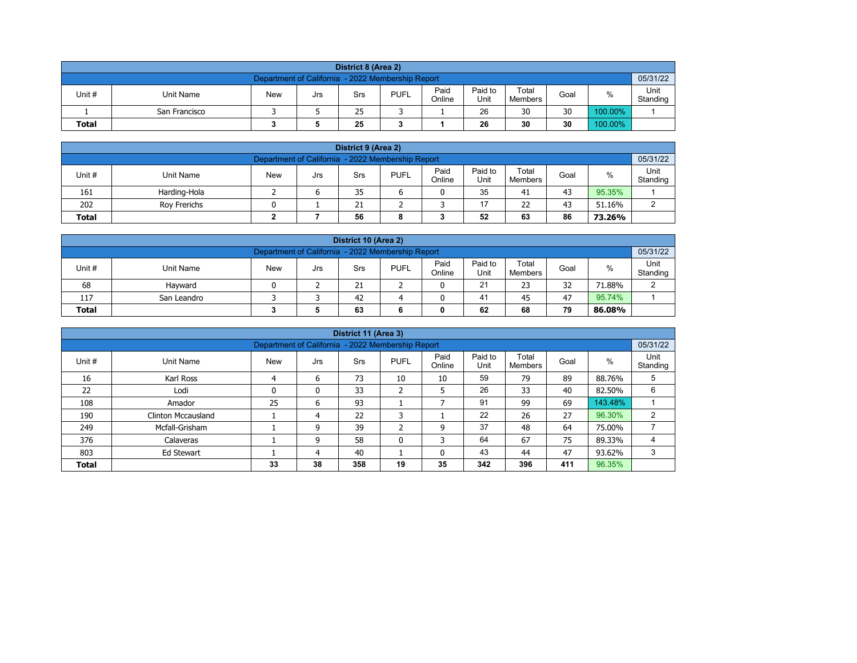| District 8 (Area 2) |                                                                                                                            |  |  |    |  |  |    |    |    |         |  |  |  |  |
|---------------------|----------------------------------------------------------------------------------------------------------------------------|--|--|----|--|--|----|----|----|---------|--|--|--|--|
|                     | 05/31/22<br>Department of California - 2022 Membership Report                                                              |  |  |    |  |  |    |    |    |         |  |  |  |  |
| Unit #              | Paid<br>Paid to<br>Total<br>%<br><b>PUFL</b><br><b>New</b><br>Unit Name<br>Goal<br>Srs<br>Jrs<br>Online<br>Unit<br>Members |  |  |    |  |  |    |    |    |         |  |  |  |  |
|                     | San Francisco                                                                                                              |  |  | 25 |  |  | 26 | 30 | 30 | 100.00% |  |  |  |  |
| <b>Total</b>        | 30<br>25<br>30<br>100.00%<br>26                                                                                            |  |  |    |  |  |    |    |    |         |  |  |  |  |

| District 9 (Area 2)                                                                                                                         |                                                     |  |  |    |  |  |    |    |    |        |  |  |  |  |
|---------------------------------------------------------------------------------------------------------------------------------------------|-----------------------------------------------------|--|--|----|--|--|----|----|----|--------|--|--|--|--|
| Department of California - 2022 Membership Report                                                                                           |                                                     |  |  |    |  |  |    |    |    |        |  |  |  |  |
| Paid<br>Paid to<br>Total<br>Unit #<br><b>PUFL</b><br>%<br><b>New</b><br><b>Unit Name</b><br>Goal<br>Srs<br>Jrs<br>Online<br>Unit<br>Members |                                                     |  |  |    |  |  |    |    |    |        |  |  |  |  |
| 161                                                                                                                                         | Harding-Hola                                        |  |  | 35 |  |  | 35 | 41 | 43 | 95.35% |  |  |  |  |
| 202                                                                                                                                         | 17<br>22<br>43<br>21<br>51.16%<br>Rov Frerichs<br>ົ |  |  |    |  |  |    |    |    |        |  |  |  |  |
| 52<br>86<br>56<br>63<br><b>Total</b><br>73.26%<br>8                                                                                         |                                                     |  |  |    |  |  |    |    |    |        |  |  |  |  |

| District 10 (Area 2)                                                                                                                       |                                               |  |  |    |  |  |    |    |    |        |  |  |  |  |
|--------------------------------------------------------------------------------------------------------------------------------------------|-----------------------------------------------|--|--|----|--|--|----|----|----|--------|--|--|--|--|
| Department of California - 2022 Membership Report<br>05/31/22                                                                              |                                               |  |  |    |  |  |    |    |    |        |  |  |  |  |
| Paid<br>Paid to<br>Total<br>Unit#<br>%<br><b>PUFL</b><br><b>New</b><br>Unit Name<br>Goal<br>Srs<br>Jrs<br>Online<br>Unit<br><b>Members</b> |                                               |  |  |    |  |  |    |    |    |        |  |  |  |  |
| 68                                                                                                                                         | Havward                                       |  |  | 21 |  |  | 21 | 23 | 32 | 71.88% |  |  |  |  |
| 117                                                                                                                                        | 41<br>95.74%<br>42<br>47<br>45<br>San Leandro |  |  |    |  |  |    |    |    |        |  |  |  |  |
| 79<br>62<br>63<br>68<br><b>Total</b><br>86.08%<br>0                                                                                        |                                               |  |  |    |  |  |    |    |    |        |  |  |  |  |

| District 11 (Area 3)                                               |                                                                                                                                                       |    |    |     |        |    |     |     |     |         |   |  |  |  |  |
|--------------------------------------------------------------------|-------------------------------------------------------------------------------------------------------------------------------------------------------|----|----|-----|--------|----|-----|-----|-----|---------|---|--|--|--|--|
|                                                                    | 05/31/22<br>Department of California - 2022 Membership Report                                                                                         |    |    |     |        |    |     |     |     |         |   |  |  |  |  |
| Unit #                                                             | Paid<br>Paid to<br>Total<br>Unit<br>%<br><b>New</b><br><b>PUFL</b><br>Goal<br>Unit Name<br><b>Srs</b><br>Jrs<br>Unit<br>Online<br>Standing<br>Members |    |    |     |        |    |     |     |     |         |   |  |  |  |  |
| 16                                                                 | Karl Ross                                                                                                                                             | 4  | 6  | 73  | 10     | 10 | 59  | 79  | 89  | 88.76%  | 5 |  |  |  |  |
| 22                                                                 | Lodi                                                                                                                                                  | 0  | 0  | 33  | h<br>∠ | 5  | 26  | 33  | 40  | 82.50%  | 6 |  |  |  |  |
| 108                                                                | Amador                                                                                                                                                | 25 | 6  | 93  |        |    | 91  | 99  | 69  | 143.48% |   |  |  |  |  |
| 190                                                                | <b>Clinton Mccausland</b>                                                                                                                             |    | 4  | 22  | 3      |    | 22  | 26  | 27  | 96.30%  | 2 |  |  |  |  |
| 249                                                                | Mcfall-Grisham                                                                                                                                        |    | 9  | 39  | C.     | 9  | 37  | 48  | 64  | 75.00%  |   |  |  |  |  |
| 376                                                                | 64<br>67<br>75<br>58<br>3<br>$\mathbf{0}$<br>89.33%<br>9<br>Calaveras                                                                                 |    |    |     |        |    |     |     |     |         |   |  |  |  |  |
| 43<br>47<br>803<br>40<br>3<br>44<br>93.62%<br>Ed Stewart<br>0<br>4 |                                                                                                                                                       |    |    |     |        |    |     |     |     |         |   |  |  |  |  |
| <b>Total</b>                                                       |                                                                                                                                                       | 33 | 38 | 358 | 19     | 35 | 342 | 396 | 411 | 96.35%  |   |  |  |  |  |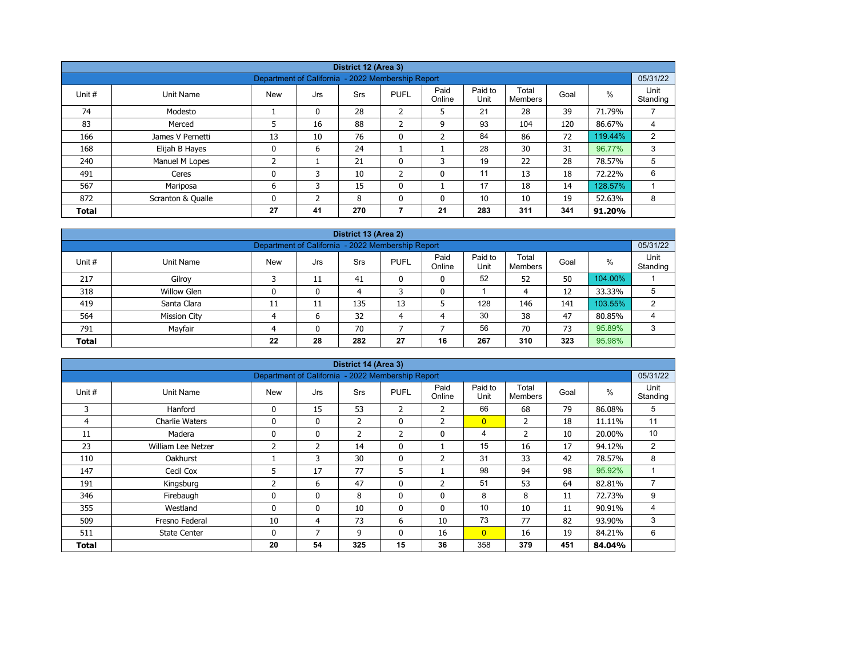|                                                                                         |                   |                                                   |          | District 12 (Area 3) |                |                |                 |                  |      |         |                  |  |  |
|-----------------------------------------------------------------------------------------|-------------------|---------------------------------------------------|----------|----------------------|----------------|----------------|-----------------|------------------|------|---------|------------------|--|--|
|                                                                                         |                   | Department of California - 2022 Membership Report |          |                      |                |                |                 |                  |      |         | 05/31/22         |  |  |
| Unit #                                                                                  | Unit Name         | <b>New</b>                                        | Jrs      | <b>Srs</b>           | <b>PUFL</b>    | Paid<br>Online | Paid to<br>Unit | Total<br>Members | Goal | %       | Unit<br>Standing |  |  |
| 74                                                                                      | Modesto           |                                                   | $\Omega$ | 28                   | ำ<br>∠         | 5              | 21              | 28               | 39   | 71.79%  |                  |  |  |
| 83<br>$\overline{2}$<br>93<br>5<br>16<br>88<br>120<br>86.67%<br>9<br>104<br>Merced<br>4 |                   |                                                   |          |                      |                |                |                 |                  |      |         |                  |  |  |
| 166                                                                                     | James V Pernetti  | 13                                                | 10       | 76                   | $\mathbf 0$    | $\overline{2}$ | 84              | 86               | 72   | 119.44% | 2                |  |  |
| 168                                                                                     | Elijah B Hayes    | 0                                                 | 6        | 24                   |                |                | 28              | 30               | 31   | 96.77%  | 3                |  |  |
| 240                                                                                     | Manuel M Lopes    | 2                                                 |          | 21                   | 0              | 3              | 19              | 22               | 28   | 78.57%  | 5                |  |  |
| 491                                                                                     | Ceres             | 0                                                 | 3        | 10                   | $\overline{2}$ | 0              | 11              | 13               | 18   | 72.22%  | 6                |  |  |
| 17<br>567<br>15<br>18<br>128.57%<br>Mariposa<br>6<br>$\mathbf{0}$<br>14<br>3            |                   |                                                   |          |                      |                |                |                 |                  |      |         |                  |  |  |
| 872                                                                                     | Scranton & Qualle | 0                                                 | C.       | 8                    | $\mathbf{0}$   | 0              | 10              | 10               | 19   | 52.63%  | 8                |  |  |
| <b>Total</b>                                                                            |                   | 27                                                | 41       | 270                  | 7              | 21             | 283             | 311              | 341  | 91.20%  |                  |  |  |

| District 13 (Area 2)                                                                                                                |                                                               |    |              |     |    |    |     |     |     |         |   |  |  |  |  |
|-------------------------------------------------------------------------------------------------------------------------------------|---------------------------------------------------------------|----|--------------|-----|----|----|-----|-----|-----|---------|---|--|--|--|--|
|                                                                                                                                     | 05/31/22<br>Department of California - 2022 Membership Report |    |              |     |    |    |     |     |     |         |   |  |  |  |  |
| Paid<br>Paid to<br>Total<br>%<br>Unit#<br><b>New</b><br><b>PUFL</b><br>Unit Name<br>Goal<br>Srs<br>Jrs<br>Online<br>Unit<br>Members |                                                               |    |              |     |    |    |     |     |     |         |   |  |  |  |  |
| 217                                                                                                                                 | Gilroy                                                        |    | 11           | 41  |    | 0  | 52  | 52  | 50  | 104.00% |   |  |  |  |  |
| 318                                                                                                                                 | <b>Willow Glen</b>                                            |    | 0            | 4   |    | 0  |     | 4   | 12  | 33.33%  | 5 |  |  |  |  |
| 419                                                                                                                                 | Santa Clara                                                   | 11 | 11           | 135 | 13 |    | 128 | 146 | 141 | 103.55% | 2 |  |  |  |  |
| 564                                                                                                                                 | <b>Mission City</b>                                           | Δ  | 6            | 32  | 4  | 4  | 30  | 38  | 47  | 80.85%  | 4 |  |  |  |  |
| 791                                                                                                                                 | Mayfair                                                       |    | $\mathbf{0}$ | 70  |    |    | 56  | 70  | 73  | 95.89%  | 3 |  |  |  |  |
| <b>Total</b>                                                                                                                        |                                                               | 22 | 28           | 282 | 27 | 16 | 267 | 310 | 323 | 95.98%  |   |  |  |  |  |

| District 14 (Area 3) |                       |                                                   |                |                |                |                |                 |                         |      |        |                  |  |  |
|----------------------|-----------------------|---------------------------------------------------|----------------|----------------|----------------|----------------|-----------------|-------------------------|------|--------|------------------|--|--|
|                      |                       | Department of California - 2022 Membership Report |                |                |                |                |                 |                         |      |        | 05/31/22         |  |  |
| Unit #               | Unit Name             | <b>New</b>                                        | Jrs            | <b>Srs</b>     | <b>PUFL</b>    | Paid<br>Online | Paid to<br>Unit | Total<br><b>Members</b> | Goal | %      | Unit<br>Standing |  |  |
| 3                    | Hanford               | $\mathbf{0}$                                      | 15             | 53             | $\overline{2}$ | 2              | 66              | 68                      | 79   | 86.08% | 5                |  |  |
| 4                    | <b>Charlie Waters</b> | 0                                                 | 0              | $\overline{2}$ | 0              | $\overline{2}$ | $\overline{0}$  | 2                       | 18   | 11.11% | 11               |  |  |
| 11                   | Madera                | 0                                                 | 0              | $\overline{2}$ | 2              | $\mathbf 0$    | 4               | $\overline{2}$          | 10   | 20.00% | 10               |  |  |
| 23                   | William Lee Netzer    | 2                                                 | $\overline{2}$ | 14             | $\mathbf{0}$   |                | 15              | 16                      | 17   | 94.12% | 2                |  |  |
| 110                  | <b>Oakhurst</b>       |                                                   | 3              | 30             | 0              | $\overline{2}$ | 31              | 33                      | 42   | 78.57% | 8                |  |  |
| 147                  | Cecil Cox             | 5                                                 | 17             | 77             | 5              |                | 98              | 94                      | 98   | 95.92% |                  |  |  |
| 191                  | Kingsburg             | 2                                                 | 6              | 47             | $\mathbf{0}$   | $\overline{2}$ | 51              | 53                      | 64   | 82.81% | 7                |  |  |
| 346                  | Firebaugh             | 0                                                 | 0              | 8              | 0              | 0              | 8               | 8                       | 11   | 72.73% | 9                |  |  |
| 355                  | Westland              | 0                                                 | $\mathbf{0}$   | 10             | $\mathbf{0}$   | $\mathbf{0}$   | 10              | 10                      | 11   | 90.91% | 4                |  |  |
| 509                  | Fresno Federal        | 10                                                | 4              | 73             | 6              | 10             | 73              | 77                      | 82   | 93.90% | 3                |  |  |
| 511                  | <b>State Center</b>   | $\mathbf{0}$                                      | 7              | 9              | $\mathbf{0}$   | 16             | $\overline{0}$  | 16                      | 19   | 84.21% | 6                |  |  |
| Total                |                       | 20                                                | 54             | 325            | 15             | 36             | 358             | 379                     | 451  | 84.04% |                  |  |  |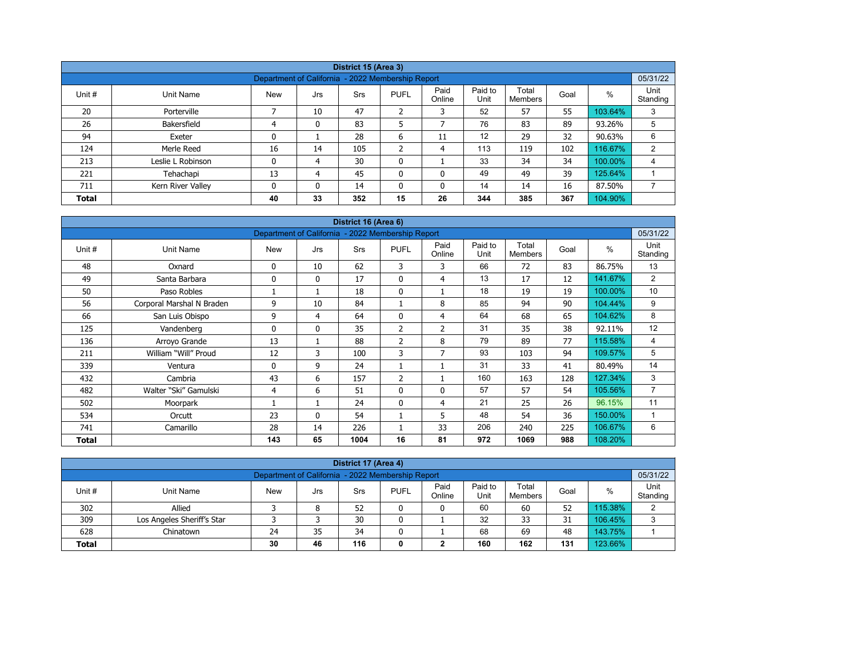| District 15 (Area 3)                                                                         |                                                                                                                                           |                                                   |    |     |         |              |     |     |     |         |          |  |  |  |  |
|----------------------------------------------------------------------------------------------|-------------------------------------------------------------------------------------------------------------------------------------------|---------------------------------------------------|----|-----|---------|--------------|-----|-----|-----|---------|----------|--|--|--|--|
|                                                                                              |                                                                                                                                           | Department of California - 2022 Membership Report |    |     |         |              |     |     |     |         | 05/31/22 |  |  |  |  |
| Unit #                                                                                       | Paid<br>Paid to<br>Total<br>$\%$<br><b>PUFL</b><br>Unit Name<br><b>New</b><br>Srs<br>Goal<br>Jrs<br>Unit<br>Standing<br>Online<br>Members |                                                   |    |     |         |              |     |     |     |         |          |  |  |  |  |
| 20                                                                                           | Porterville                                                                                                                               |                                                   | 10 | 47  | 2       | 3            | 52  | 57  | 55  | 103.64% | 3        |  |  |  |  |
| 26                                                                                           | Bakersfield                                                                                                                               | 4                                                 | 0  | 83  | 5       | ⇁            | 76  | 83  | 89  | 93.26%  | 5        |  |  |  |  |
| 94                                                                                           | Exeter                                                                                                                                    | 0                                                 |    | 28  | 6       | 11           | 12  | 29  | 32  | 90.63%  | 6        |  |  |  |  |
| 124                                                                                          | Merle Reed                                                                                                                                | 16                                                | 14 | 105 | C.<br>∠ | 4            | 113 | 119 | 102 | 116.67% | 2        |  |  |  |  |
| 213                                                                                          | Leslie L Robinson                                                                                                                         | 0                                                 | 4  | 30  | 0       |              | 33  | 34  | 34  | 100.00% | 4        |  |  |  |  |
| 221                                                                                          | Tehachapi                                                                                                                                 | 13                                                | 4  | 45  | 0       | $\mathbf{0}$ | 49  | 49  | 39  | 125.64% |          |  |  |  |  |
| 14<br>16<br>711<br>Kern River Valley<br>$\Omega$<br>14<br>0<br>14<br>87.50%<br>0<br>$\Omega$ |                                                                                                                                           |                                                   |    |     |         |              |     |     |     |         |          |  |  |  |  |
| <b>Total</b>                                                                                 |                                                                                                                                           | 40                                                | 33 | 352 | 15      | 26           | 344 | 385 | 367 | 104.90% |          |  |  |  |  |

| District 16 (Area 6) |                           |                                                   |              |      |                |                |                 |                         |      |         |                  |  |  |
|----------------------|---------------------------|---------------------------------------------------|--------------|------|----------------|----------------|-----------------|-------------------------|------|---------|------------------|--|--|
|                      |                           | Department of California - 2022 Membership Report |              |      |                |                |                 |                         |      |         | 05/31/22         |  |  |
| Unit #               | Unit Name                 | <b>New</b>                                        | Jrs          | Srs  | <b>PUFL</b>    | Paid<br>Online | Paid to<br>Unit | Total<br><b>Members</b> | Goal | %       | Unit<br>Standing |  |  |
| 48                   | Oxnard                    | 0                                                 | 10           | 62   | 3              | 3              | 66              | 72                      | 83   | 86.75%  | 13               |  |  |
| 49                   | Santa Barbara             | 0                                                 | $\mathbf{0}$ | 17   | $\mathbf{0}$   | 4              | 13              | 17                      | 12   | 141.67% | 2                |  |  |
| 50                   | Paso Robles               |                                                   | 1            | 18   | $\mathbf 0$    |                | 18              | 19                      | 19   | 100.00% | 10               |  |  |
| 56                   | Corporal Marshal N Braden | 9                                                 | 10           | 84   |                | 8              | 85              | 94                      | 90   | 104.44% | 9                |  |  |
| 66                   | San Luis Obispo           | 9                                                 | 4            | 64   | $\mathbf{0}$   | 4              | 64              | 68                      | 65   | 104.62% | 8                |  |  |
| 125                  | Vandenberg                | 0                                                 | $\mathbf{0}$ | 35   | 2              | $\overline{2}$ | 31              | 35                      | 38   | 92.11%  | 12               |  |  |
| 136                  | Arroyo Grande             | 13                                                | 1            | 88   | $\overline{2}$ | 8              | 79              | 89                      | 77   | 115.58% | 4                |  |  |
| 211                  | William "Will" Proud      | 12                                                | 3            | 100  | 3              | 7              | 93              | 103                     | 94   | 109.57% | 5                |  |  |
| 339                  | Ventura                   | 0                                                 | 9            | 24   |                |                | 31              | 33                      | 41   | 80.49%  | 14               |  |  |
| 432                  | Cambria                   | 43                                                | 6            | 157  | $\overline{2}$ |                | 160             | 163                     | 128  | 127.34% | 3                |  |  |
| 482                  | Walter "Ski" Gamulski     | 4                                                 | 6            | 51   | $\mathbf{0}$   | $\Omega$       | 57              | 57                      | 54   | 105.56% | $\overline{7}$   |  |  |
| 502                  | Moorpark                  |                                                   | 1            | 24   | $\mathbf{0}$   | $\overline{4}$ | 21              | 25                      | 26   | 96.15%  | 11               |  |  |
| 534                  | Orcutt                    | 23                                                | $\mathbf{0}$ | 54   |                | 5              | 48              | 54                      | 36   | 150.00% | 1                |  |  |
| 741                  | Camarillo                 | 28                                                | 14           | 226  |                | 33             | 206             | 240                     | 225  | 106.67% | 6                |  |  |
| <b>Total</b>         |                           | 143                                               | 65           | 1004 | 16             | 81             | 972             | 1069                    | 988  | 108.20% |                  |  |  |

| District 17 (Area 4)                                                                                                                             |                            |  |   |    |  |   |    |    |    |         |   |  |  |  |
|--------------------------------------------------------------------------------------------------------------------------------------------------|----------------------------|--|---|----|--|---|----|----|----|---------|---|--|--|--|
| 05/31/22<br>Department of California - 2022 Membership Report                                                                                    |                            |  |   |    |  |   |    |    |    |         |   |  |  |  |
| Paid to<br>Paid<br>Total<br><b>PUFL</b><br>Unit #<br><b>New</b><br>%<br>Goal<br>Unit Name<br>Srs<br>Jrs<br>Unit<br>Standing<br>Online<br>Members |                            |  |   |    |  |   |    |    |    |         |   |  |  |  |
| 302                                                                                                                                              | Allied                     |  | 8 | 52 |  | 0 | 60 | 60 | 52 | 115.38% | ົ |  |  |  |
| 309                                                                                                                                              | Los Angeles Sheriff's Star |  |   | 30 |  |   | 32 | 33 | 31 | 106.45% | 3 |  |  |  |
| 143.75%<br>68<br>628<br>69<br>24<br>35<br>34<br>48<br>Chinatown                                                                                  |                            |  |   |    |  |   |    |    |    |         |   |  |  |  |
| 160<br>123.66%<br>116<br>162<br>30<br>131<br>46<br><b>Total</b><br>◠<br>0<br>∠                                                                   |                            |  |   |    |  |   |    |    |    |         |   |  |  |  |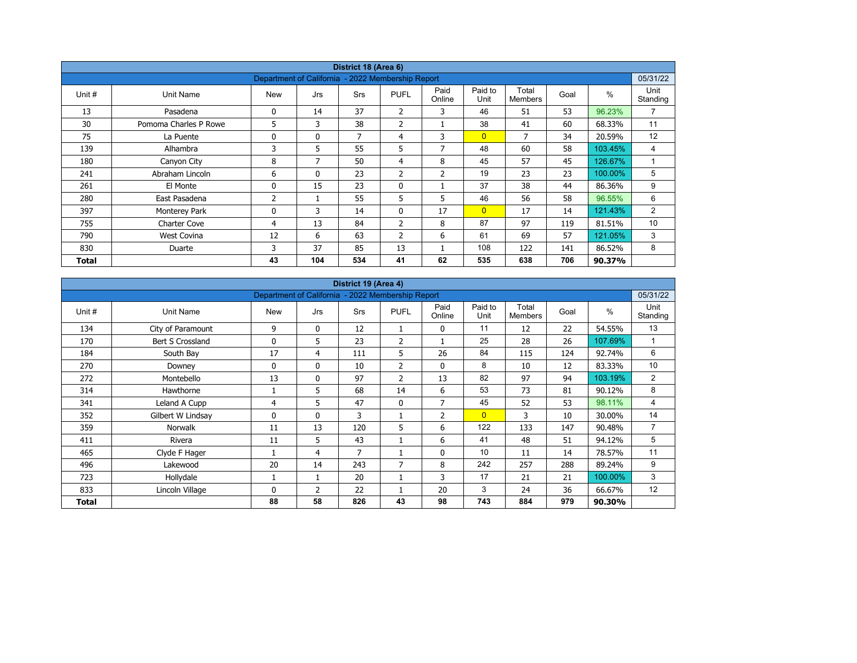| District 18 (Area 6) |                       |                                                   |              |            |                |                |                 |                         |      |         |                  |  |  |
|----------------------|-----------------------|---------------------------------------------------|--------------|------------|----------------|----------------|-----------------|-------------------------|------|---------|------------------|--|--|
|                      |                       | Department of California - 2022 Membership Report |              |            |                |                |                 |                         |      |         | 05/31/22         |  |  |
| Unit #               | Unit Name             | <b>New</b>                                        | Jrs          | <b>Srs</b> | <b>PUFL</b>    | Paid<br>Online | Paid to<br>Unit | Total<br><b>Members</b> | Goal | $\%$    | Unit<br>Standing |  |  |
| 13                   | Pasadena              | 0                                                 | 14           | 37         | $\overline{2}$ | 3              | 46              | 51                      | 53   | 96.23%  | $\overline{7}$   |  |  |
| 30                   | Pomoma Charles P Rowe | 5                                                 | 3            | 38         | $\overline{2}$ |                | 38              | 41                      | 60   | 68.33%  | 11               |  |  |
| 75                   | La Puente             | 0                                                 | $\mathbf{0}$ | 7          | 4              | 3              | $\overline{0}$  | 7                       | 34   | 20.59%  | 12               |  |  |
| 139                  | Alhambra              | 3                                                 | 5            | 55         | 5              | 7              | 48              | 60                      | 58   | 103.45% | 4                |  |  |
| 180                  | Canyon City           | 8                                                 | 7            | 50         | $\overline{4}$ | 8              | 45              | 57                      | 45   | 126.67% | $\overline{A}$   |  |  |
| 241                  | Abraham Lincoln       | 6                                                 | $\mathbf{0}$ | 23         | 2              | $\overline{2}$ | 19              | 23                      | 23   | 100.00% | 5                |  |  |
| 261                  | El Monte              | 0                                                 | 15           | 23         | $\mathbf 0$    |                | 37              | 38                      | 44   | 86.36%  | 9                |  |  |
| 280                  | East Pasadena         | 2                                                 |              | 55         | 5              | 5              | 46              | 56                      | 58   | 96.55%  | 6                |  |  |
| 397                  | Monterey Park         | 0                                                 | 3            | 14         | $\mathbf{0}$   | 17             | $\overline{0}$  | 17                      | 14   | 121.43% | $\overline{2}$   |  |  |
| 755                  | <b>Charter Cove</b>   | 4                                                 | 13           | 84         | $\overline{2}$ | 8              | 87              | 97                      | 119  | 81.51%  | 10               |  |  |
| 790                  | <b>West Covina</b>    | 12                                                | 6            | 63         | $\overline{2}$ | 6              | 61              | 69                      | 57   | 121.05% | 3                |  |  |
| 830                  | Duarte                | 3                                                 | 37           | 85         | 13             |                | 108             | 122                     | 141  | 86.52%  | 8                |  |  |
| Total                |                       | 43                                                | 104          | 534        | 41             | 62             | 535             | 638                     | 706  | 90.37%  |                  |  |  |

| District 19 (Area 4) |                   |                                                   |              |     |                |                |                 |                         |      |               |                  |  |  |
|----------------------|-------------------|---------------------------------------------------|--------------|-----|----------------|----------------|-----------------|-------------------------|------|---------------|------------------|--|--|
|                      |                   | Department of California - 2022 Membership Report |              |     |                |                |                 |                         |      |               | 05/31/22         |  |  |
| Unit #               | Unit Name         | <b>New</b>                                        | Jrs          | Srs | <b>PUFL</b>    | Paid<br>Online | Paid to<br>Unit | Total<br><b>Members</b> | Goal | $\frac{0}{0}$ | Unit<br>Standing |  |  |
| 134                  | City of Paramount | 9                                                 | $\mathbf 0$  | 12  | 1              | 0              | 11              | 12                      | 22   | 54.55%        | 13               |  |  |
| 170                  | Bert S Crossland  | 0                                                 | 5            | 23  | $\overline{2}$ |                | 25              | 28                      | 26   | 107.69%       | $\mathbf{1}$     |  |  |
| 184                  | South Bay         | 17                                                | 4            | 111 | 5              | 26             | 84              | 115                     | 124  | 92.74%        | 6                |  |  |
| 270                  | Downey            | 0                                                 | $\mathbf{0}$ | 10  | $\overline{2}$ | 0              | 8               | 10                      | 12   | 83.33%        | 10               |  |  |
| 272                  | Montebello        | 13                                                | $\mathbf{0}$ | 97  | $\overline{2}$ | 13             | 82              | 97                      | 94   | 103.19%       | 2                |  |  |
| 314                  | Hawthorne         |                                                   | 5            | 68  | 14             | 6              | 53              | 73                      | 81   | 90.12%        | 8                |  |  |
| 341                  | Leland A Cupp     | 4                                                 | 5            | 47  | $\mathbf{0}$   | $\overline{7}$ | 45              | 52                      | 53   | 98.11%        | 4                |  |  |
| 352                  | Gilbert W Lindsay | 0                                                 | $\mathbf{0}$ | 3   |                | $\overline{2}$ | $\overline{0}$  | 3                       | 10   | 30.00%        | 14               |  |  |
| 359                  | <b>Norwalk</b>    | 11                                                | 13           | 120 | 5              | 6              | 122             | 133                     | 147  | 90.48%        | $\overline{7}$   |  |  |
| 411                  | Rivera            | 11                                                | 5            | 43  |                | 6              | 41              | 48                      | 51   | 94.12%        | 5                |  |  |
| 465                  | Clyde F Hager     |                                                   | 4            | 7   |                | $\mathbf 0$    | 10              | 11                      | 14   | 78.57%        | 11               |  |  |
| 496                  | Lakewood          | 20                                                | 14           | 243 | 7              | 8              | 242             | 257                     | 288  | 89.24%        | 9                |  |  |
| 723                  | Hollydale         |                                                   | 1            | 20  |                | 3              | 17              | 21                      | 21   | 100.00%       | 3                |  |  |
| 833                  | Lincoln Village   | 0                                                 | 2            | 22  |                | 20             | 3               | 24                      | 36   | 66.67%        | 12               |  |  |
| Total                |                   | 88                                                | 58           | 826 | 43             | 98             | 743             | 884                     | 979  | 90.30%        |                  |  |  |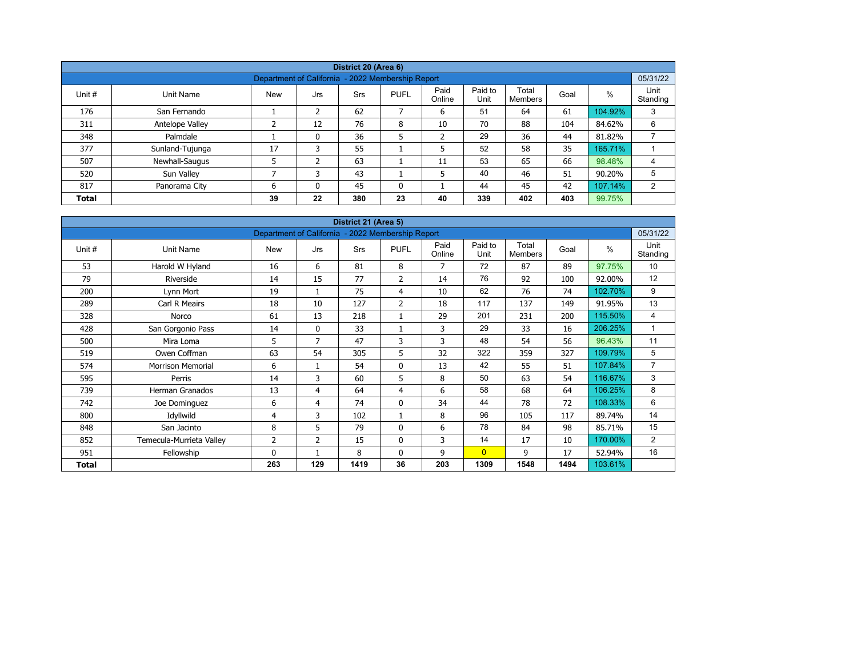| District 20 (Area 6) |                 |                                                   |     |            |              |                |                 |                  |      |         |                  |  |  |  |
|----------------------|-----------------|---------------------------------------------------|-----|------------|--------------|----------------|-----------------|------------------|------|---------|------------------|--|--|--|
|                      |                 | Department of California - 2022 Membership Report |     |            |              |                |                 |                  |      |         | 05/31/22         |  |  |  |
| Unit #               | Unit Name       | <b>New</b>                                        | Jrs | <b>Srs</b> | <b>PUFL</b>  | Paid<br>Online | Paid to<br>Unit | Total<br>Members | Goal | %       | Unit<br>Standing |  |  |  |
| 176                  | San Fernando    |                                                   | 2   | 62         | 7            | 6              | 51              | 64               | 61   | 104.92% | 3                |  |  |  |
| 311                  | Antelope Valley | ∍                                                 | 12  | 76         | 8            | 10             | 70              | 88               | 104  | 84.62%  | 6                |  |  |  |
| 348                  | Palmdale        |                                                   | 0   | 36         | 5            | $\overline{2}$ | 29              | 36               | 44   | 81.82%  |                  |  |  |  |
| 377                  | Sunland-Tujunga | 17                                                | 3   | 55         |              | 5              | 52              | 58               | 35   | 165.71% |                  |  |  |  |
| 507                  | Newhall-Saugus  |                                                   | 2   | 63         |              | 11             | 53              | 65               | 66   | 98.48%  | 4                |  |  |  |
| 520                  | Sun Valley      | ⇁                                                 |     | 43         |              | 5              | 40              | 46               | 51   | 90.20%  | 5                |  |  |  |
| 817                  | Panorama City   | 6                                                 | 0   | 45         | $\mathbf{0}$ |                | 44              | 45               | 42   | 107.14% | 2                |  |  |  |
| <b>Total</b>         |                 | 39                                                | 22  | 380        | 23           | 40             | 339             | 402              | 403  | 99.75%  |                  |  |  |  |

| District 21 (Area 5) |                          |                                                   |              |            |                |                |                 |                         |      |         |                  |  |  |
|----------------------|--------------------------|---------------------------------------------------|--------------|------------|----------------|----------------|-----------------|-------------------------|------|---------|------------------|--|--|
|                      |                          | Department of California - 2022 Membership Report |              |            |                |                |                 |                         |      |         | 05/31/22         |  |  |
| Unit #               | Unit Name                | <b>New</b>                                        | Jrs          | <b>Srs</b> | <b>PUFL</b>    | Paid<br>Online | Paid to<br>Unit | Total<br><b>Members</b> | Goal | %       | Unit<br>Standing |  |  |
| 53                   | Harold W Hyland          | 16                                                | 6            | 81         | 8              | 7              | 72              | 87                      | 89   | 97.75%  | 10 <sup>10</sup> |  |  |
| 79                   | Riverside                | 14                                                | 15           | 77         | 2              | 14             | 76              | 92                      | 100  | 92.00%  | 12               |  |  |
| 200                  | Lynn Mort                | 19                                                |              | 75         | 4              | 10             | 62              | 76                      | 74   | 102.70% | 9                |  |  |
| 289                  | Carl R Meairs            | 18                                                | 10           | 127        | $\overline{2}$ | 18             | 117             | 137                     | 149  | 91.95%  | 13               |  |  |
| 328                  | Norco                    | 61                                                | 13           | 218        | $\mathbf{1}$   | 29             | 201             | 231                     | 200  | 115.50% | 4                |  |  |
| 428                  | San Gorgonio Pass        | 14                                                | $\mathbf{0}$ | 33         |                | 3              | 29              | 33                      | 16   | 206.25% | 1                |  |  |
| 500                  | Mira Loma                | 5                                                 | 7            | 47         | 3              | 3              | 48              | 54                      | 56   | 96.43%  | 11               |  |  |
| 519                  | Owen Coffman             | 63                                                | 54           | 305        | 5              | 32             | 322             | 359                     | 327  | 109.79% | 5                |  |  |
| 574                  | <b>Morrison Memorial</b> | 6                                                 | $\mathbf{1}$ | 54         | $\mathbf 0$    | 13             | 42              | 55                      | 51   | 107.84% | $\overline{7}$   |  |  |
| 595                  | Perris                   | 14                                                | 3            | 60         | 5              | 8              | 50              | 63                      | 54   | 116.67% | 3                |  |  |
| 739                  | Herman Granados          | 13                                                | 4            | 64         | 4              | 6              | 58              | 68                      | 64   | 106.25% | 8                |  |  |
| 742                  | Joe Dominguez            | 6                                                 | 4            | 74         | $\mathbf 0$    | 34             | 44              | 78                      | 72   | 108.33% | 6                |  |  |
| 800                  | Idyllwild                | 4                                                 | 3            | 102        | 1              | 8              | 96              | 105                     | 117  | 89.74%  | 14               |  |  |
| 848                  | San Jacinto              | 8                                                 | 5            | 79         | $\mathbf{0}$   | 6              | 78              | 84                      | 98   | 85.71%  | 15               |  |  |
| 852                  | Temecula-Murrieta Valley | $\overline{2}$                                    | 2            | 15         | $\mathbf 0$    | 3              | 14              | 17                      | 10   | 170.00% | $\overline{2}$   |  |  |
| 951                  | Fellowship               | $\Omega$                                          |              | 8          | $\mathbf{0}$   | 9              | $\overline{0}$  | 9                       | 17   | 52.94%  | 16               |  |  |
| <b>Total</b>         |                          | 263                                               | 129          | 1419       | 36             | 203            | 1309            | 1548                    | 1494 | 103.61% |                  |  |  |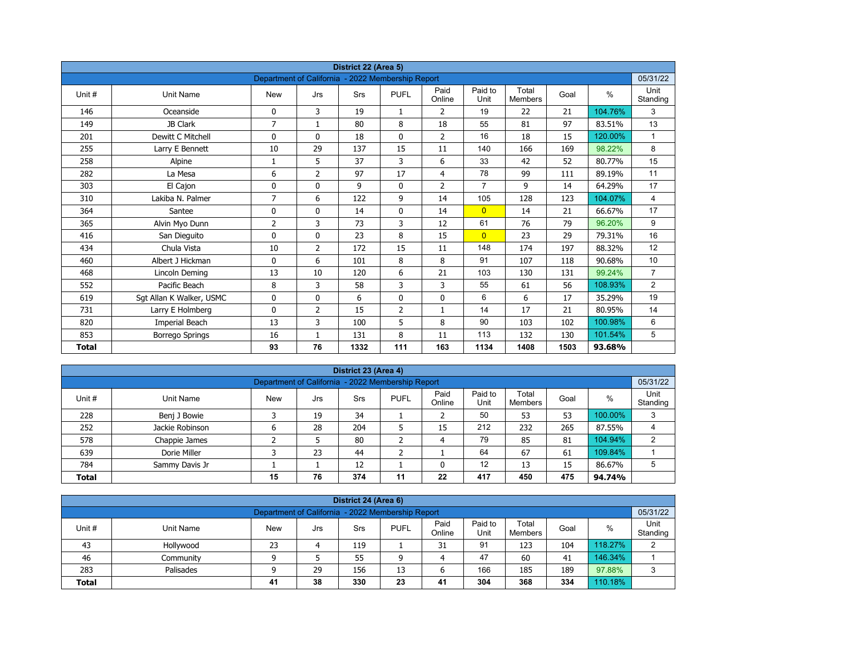| District 22 (Area 5) |                          |                                                   |                |      |                |                |                 |                         |      |         |                  |  |  |
|----------------------|--------------------------|---------------------------------------------------|----------------|------|----------------|----------------|-----------------|-------------------------|------|---------|------------------|--|--|
|                      |                          | Department of California - 2022 Membership Report |                |      |                |                |                 |                         |      |         | 05/31/22         |  |  |
| Unit#                | <b>Unit Name</b>         | <b>New</b>                                        | Jrs            | Srs  | <b>PUFL</b>    | Paid<br>Online | Paid to<br>Unit | Total<br><b>Members</b> | Goal | $\%$    | Unit<br>Standing |  |  |
| 146                  | Oceanside                | 0                                                 | 3              | 19   | $\mathbf{1}$   | 2              | 19              | 22                      | 21   | 104.76% | 3                |  |  |
| 149                  | JB Clark                 | $\overline{7}$                                    | $\mathbf{1}$   | 80   | 8              | 18             | 55              | 81                      | 97   | 83.51%  | 13               |  |  |
| 201                  | Dewitt C Mitchell        | 0                                                 | $\mathbf{0}$   | 18   | $\mathbf{0}$   | $\overline{2}$ | 16              | 18                      | 15   | 120.00% | $\mathbf{1}$     |  |  |
| 255                  | Larry E Bennett          | 10                                                | 29             | 137  | 15             | 11             | 140             | 166                     | 169  | 98.22%  | 8                |  |  |
| 258                  | Alpine                   | 1                                                 | 5              | 37   | 3              | 6              | 33              | 42                      | 52   | 80.77%  | 15               |  |  |
| 282                  | La Mesa                  | 6                                                 | $\overline{2}$ | 97   | 17             | $\overline{4}$ | 78              | 99                      | 111  | 89.19%  | 11               |  |  |
| 303                  | El Cajon                 | 0                                                 | 0              | 9    | $\mathbf 0$    | $\overline{2}$ | $\overline{7}$  | 9                       | 14   | 64.29%  | 17               |  |  |
| 310                  | Lakiba N. Palmer         | $\overline{7}$                                    | 6              | 122  | 9              | 14             | 105             | 128                     | 123  | 104.07% | $\overline{4}$   |  |  |
| 364                  | Santee                   | 0                                                 | 0              | 14   | $\mathbf 0$    | 14             | $\overline{0}$  | 14                      | 21   | 66.67%  | 17               |  |  |
| 365                  | Alvin Myo Dunn           | $\overline{2}$                                    | 3              | 73   | 3              | 12             | 61              | 76                      | 79   | 96.20%  | 9                |  |  |
| 416                  | San Dieguito             | 0                                                 | $\mathbf{0}$   | 23   | 8              | 15             | $\overline{0}$  | 23                      | 29   | 79.31%  | 16               |  |  |
| 434                  | Chula Vista              | 10                                                | $\overline{2}$ | 172  | 15             | 11             | 148             | 174                     | 197  | 88.32%  | 12               |  |  |
| 460                  | Albert J Hickman         | 0                                                 | 6              | 101  | 8              | 8              | 91              | 107                     | 118  | 90.68%  | 10               |  |  |
| 468                  | Lincoln Deming           | 13                                                | 10             | 120  | 6              | 21             | 103             | 130                     | 131  | 99.24%  | $\overline{7}$   |  |  |
| 552                  | Pacific Beach            | 8                                                 | 3              | 58   | 3              | 3              | 55              | 61                      | 56   | 108.93% | $\overline{2}$   |  |  |
| 619                  | Sgt Allan K Walker, USMC | 0                                                 | 0              | 6    | $\mathbf 0$    | 0              | 6               | 6                       | 17   | 35.29%  | 19               |  |  |
| 731                  | Larry E Holmberg         | 0                                                 | 2              | 15   | $\overline{2}$ | $\mathbf{1}$   | 14              | 17                      | 21   | 80.95%  | 14               |  |  |
| 820                  | Imperial Beach           | 13                                                | 3              | 100  | 5              | 8              | 90              | 103                     | 102  | 100.98% | 6                |  |  |
| 853                  | <b>Borrego Springs</b>   | 16                                                | $\mathbf{1}$   | 131  | 8              | 11             | 113             | 132                     | 130  | 101.54% | 5                |  |  |
| <b>Total</b>         |                          | 93                                                | 76             | 1332 | 111            | 163            | 1134            | 1408                    | 1503 | 93.68%  |                  |  |  |

| District 23 (Area 4)                                                       |                                                               |            |     |     |             |                |                 |                         |      |         |                  |  |  |  |
|----------------------------------------------------------------------------|---------------------------------------------------------------|------------|-----|-----|-------------|----------------|-----------------|-------------------------|------|---------|------------------|--|--|--|
|                                                                            | 05/31/22<br>Department of California - 2022 Membership Report |            |     |     |             |                |                 |                         |      |         |                  |  |  |  |
| Unit#                                                                      | Unit Name                                                     | <b>New</b> | Jrs | Srs | <b>PUFL</b> | Paid<br>Online | Paid to<br>Unit | Total<br><b>Members</b> | Goal | %       | Unit<br>Standing |  |  |  |
| 228                                                                        | Benj J Bowie                                                  |            | 19  | 34  |             |                | 50              | 53                      | 53   | 100.00% | 3                |  |  |  |
| 252                                                                        | Jackie Robinson                                               | 6          | 28  | 204 | ь           | 15             | 212             | 232                     | 265  | 87.55%  | 4                |  |  |  |
| 578                                                                        | Chappie James                                                 |            |     | 80  | ∍           | 4              | 79              | 85                      | 81   | 104.94% | 2                |  |  |  |
| 639                                                                        | Dorie Miller                                                  |            | 23  | 44  | ╮           |                | 64              | 67                      | 61   | 109.84% |                  |  |  |  |
| 12<br>12<br>13<br>86.67%<br>784<br>15<br>Sammy Davis Jr                    |                                                               |            |     |     |             |                |                 |                         |      |         |                  |  |  |  |
| 76<br>374<br>475<br>22<br>417<br>450<br>15<br>11<br><b>Total</b><br>94.74% |                                                               |            |     |     |             |                |                 |                         |      |         |                  |  |  |  |

| District 24 (Area 6)                                                                                                                      |                                                               |    |    |     |    |    |     |     |     |         |   |  |  |  |
|-------------------------------------------------------------------------------------------------------------------------------------------|---------------------------------------------------------------|----|----|-----|----|----|-----|-----|-----|---------|---|--|--|--|
|                                                                                                                                           | Department of California - 2022 Membership Report<br>05/31/22 |    |    |     |    |    |     |     |     |         |   |  |  |  |
| Paid<br>Paid to<br>Total<br><b>PUFL</b><br>%<br>Unit #<br>Goal<br>Unit Name<br>Srs<br>New<br>Jrs<br>Unit<br>Standing<br>Online<br>Members |                                                               |    |    |     |    |    |     |     |     |         |   |  |  |  |
| 43                                                                                                                                        | Hollywood                                                     | 23 |    | 119 |    | 31 | 91  | 123 | 104 | 118.27% | C |  |  |  |
| 46                                                                                                                                        | Community                                                     |    |    | 55  | a  | 4  | 47  | 60  | 41  | 146.34% |   |  |  |  |
| 283                                                                                                                                       | Palisades                                                     |    | 29 | 156 | 13 |    | 166 | 185 | 189 | 97.88%  | 2 |  |  |  |
| 38<br>330<br>304<br>368<br>110.18%<br>23<br>334<br>41<br>41<br><b>Total</b>                                                               |                                                               |    |    |     |    |    |     |     |     |         |   |  |  |  |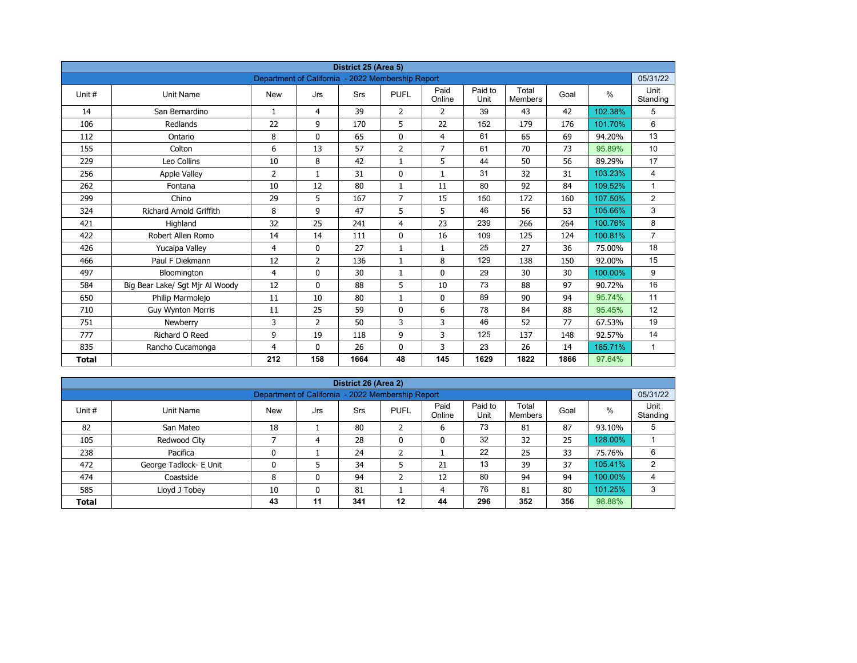| District 25 (Area 5)<br>Department of California - 2022 Membership Report |                                 |              |                |            |                |                |                 |                         |      |         |                  |  |  |
|---------------------------------------------------------------------------|---------------------------------|--------------|----------------|------------|----------------|----------------|-----------------|-------------------------|------|---------|------------------|--|--|
|                                                                           |                                 |              |                |            |                |                |                 |                         |      |         | 05/31/22         |  |  |
| Unit #                                                                    | Unit Name                       | <b>New</b>   | Jrs            | <b>Srs</b> | <b>PUFL</b>    | Paid<br>Online | Paid to<br>Unit | Total<br><b>Members</b> | Goal | $\%$    | Unit<br>Standing |  |  |
| 14                                                                        | San Bernardino                  | $\mathbf{1}$ | 4              | 39         | $\overline{2}$ | $\overline{2}$ | 39              | 43                      | 42   | 102.38% | 5                |  |  |
| 106                                                                       | Redlands                        | 22           | 9              | 170        | 5              | 22             | 152             | 179                     | 176  | 101.70% | 6                |  |  |
| 112                                                                       | Ontario                         | 8            | $\Omega$       | 65         | $\mathbf 0$    | $\overline{4}$ | 61              | 65                      | 69   | 94.20%  | 13               |  |  |
| 155                                                                       | Colton                          | 6            | 13             | 57         | $\overline{2}$ | $\overline{7}$ | 61              | 70                      | 73   | 95.89%  | 10               |  |  |
| 229                                                                       | Leo Collins                     | 10           | 8              | 42         | $\mathbf{1}$   | 5              | 44              | 50                      | 56   | 89.29%  | 17               |  |  |
| 256                                                                       | <b>Apple Valley</b>             | 2            | $\mathbf{1}$   | 31         | $\mathbf{0}$   | $\mathbf{1}$   | 31              | 32                      | 31   | 103.23% | $\overline{4}$   |  |  |
| 262                                                                       | Fontana                         | 10           | 12             | 80         | $\mathbf{1}$   | 11             | 80              | 92                      | 84   | 109.52% | $\mathbf{1}$     |  |  |
| 299                                                                       | Chino                           | 29           | 5              | 167        | $\overline{7}$ | 15             | 150             | 172                     | 160  | 107.50% | $\overline{2}$   |  |  |
| 324                                                                       | <b>Richard Arnold Griffith</b>  | 8            | 9              | 47         | 5              | 5              | 46              | 56                      | 53   | 105.66% | 3                |  |  |
| 421                                                                       | Highland                        | 32           | 25             | 241        | 4              | 23             | 239             | 266                     | 264  | 100.76% | 8                |  |  |
| 422                                                                       | Robert Allen Romo               | 14           | 14             | 111        | $\mathbf{0}$   | 16             | 109             | 125                     | 124  | 100.81% | $\overline{7}$   |  |  |
| 426                                                                       | Yucaipa Valley                  | 4            | $\Omega$       | 27         | $\mathbf{1}$   | $\mathbf{1}$   | 25              | 27                      | 36   | 75.00%  | 18               |  |  |
| 466                                                                       | Paul F Diekmann                 | 12           | $\overline{2}$ | 136        | $\mathbf{1}$   | 8              | 129             | 138                     | 150  | 92.00%  | 15               |  |  |
| 497                                                                       | Bloomington                     | 4            | 0              | 30         | $\mathbf{1}$   | $\mathbf 0$    | 29              | 30                      | 30   | 100.00% | 9                |  |  |
| 584                                                                       | Big Bear Lake/ Sgt Mjr Al Woody | 12           | $\mathbf{0}$   | 88         | 5              | 10             | 73              | 88                      | 97   | 90.72%  | 16               |  |  |
| 650                                                                       | Philip Marmolejo                | 11           | 10             | 80         | $\mathbf{1}$   | 0              | 89              | 90                      | 94   | 95.74%  | 11               |  |  |
| 710                                                                       | <b>Guy Wynton Morris</b>        | 11           | 25             | 59         | $\mathbf{0}$   | 6              | 78              | 84                      | 88   | 95.45%  | 12               |  |  |
| 751                                                                       | Newberry                        | 3            | $\overline{2}$ | 50         | 3              | 3              | 46              | 52                      | 77   | 67.53%  | 19               |  |  |
| 777                                                                       | Richard O Reed                  | 9            | 19             | 118        | 9              | 3              | 125             | 137                     | 148  | 92.57%  | 14               |  |  |
| 835                                                                       | Rancho Cucamonga                | 4            | $\mathbf{0}$   | 26         | $\mathbf 0$    | 3              | 23              | 26                      | 14   | 185.71% | $\mathbf{1}$     |  |  |
| <b>Total</b>                                                              |                                 | 212          | 158            | 1664       | 48             | 145            | 1629            | 1822                    | 1866 | 97.64%  |                  |  |  |

| District 26 (Area 2) |                                                               |            |     |     |              |                |                 |                         |      |         |                  |  |  |  |  |
|----------------------|---------------------------------------------------------------|------------|-----|-----|--------------|----------------|-----------------|-------------------------|------|---------|------------------|--|--|--|--|
|                      | 05/31/22<br>Department of California - 2022 Membership Report |            |     |     |              |                |                 |                         |      |         |                  |  |  |  |  |
| Unit #               | Unit Name                                                     | <b>New</b> | Jrs | Srs | <b>PUFL</b>  | Paid<br>Online | Paid to<br>Unit | Total<br><b>Members</b> | Goal | %       | Unit<br>Standing |  |  |  |  |
| 82                   | San Mateo                                                     | 18         |     | 80  | h<br>∠       | 6              | 73              | 81                      | 87   | 93.10%  | 5                |  |  |  |  |
| 105                  | Redwood City                                                  |            | 4   | 28  | $\mathbf{0}$ | 0              | 32              | 32                      | 25   | 128.00% |                  |  |  |  |  |
| 238                  | Pacifica                                                      | 0          |     | 24  | h            |                | 22              | 25                      | 33   | 75.76%  | 6                |  |  |  |  |
| 472                  | George Tadlock- E Unit                                        | 0          |     | 34  |              | 21             | 13              | 39                      | 37   | 105.41% | 2                |  |  |  |  |
| 474                  | Coastside                                                     | 8          | 0   | 94  | C<br>∠       | 12             | 80              | 94                      | 94   | 100.00% | 4                |  |  |  |  |
| 585                  | Lloyd J Tobey                                                 | 10         | 0   | 81  |              | 4              | 76              | 81                      | 80   | 101.25% | 3                |  |  |  |  |
| <b>Total</b>         |                                                               | 43         | 11  | 341 | $12 \,$      | 44             | 296             | 352                     | 356  | 98.88%  |                  |  |  |  |  |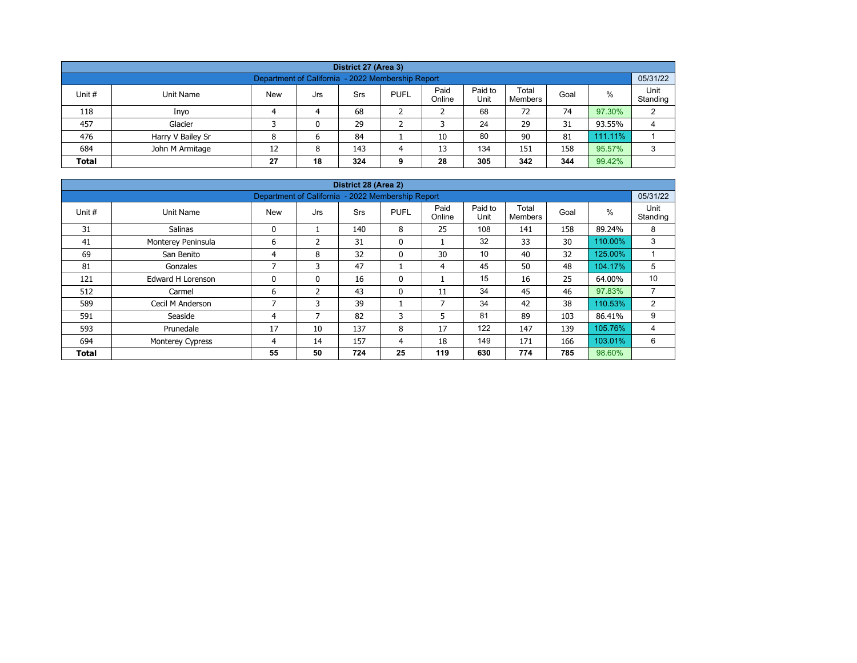| District 27 (Area 3)                                                                                                                                    |                   |    |   |     |   |    |     |     |     |         |   |  |  |  |
|---------------------------------------------------------------------------------------------------------------------------------------------------------|-------------------|----|---|-----|---|----|-----|-----|-----|---------|---|--|--|--|
| 05/31/22<br>Department of California - 2022 Membership Report                                                                                           |                   |    |   |     |   |    |     |     |     |         |   |  |  |  |
| Paid<br>Paid to<br>Total<br>%<br>Unit #<br><b>New</b><br><b>PUFL</b><br>Unit Name<br>Srs<br>Goal<br>Jrs<br>Unit<br>Online<br>Standing<br><b>Members</b> |                   |    |   |     |   |    |     |     |     |         |   |  |  |  |
| 118                                                                                                                                                     | Inyo              |    | 4 | 68  |   |    | 68  | 72  | 74  | 97.30%  | 2 |  |  |  |
| 457                                                                                                                                                     | Glacier           |    | 0 | 29  |   |    | 24  | 29  | 31  | 93.55%  | 4 |  |  |  |
| 476                                                                                                                                                     | Harry V Bailey Sr | 8  | 6 | 84  |   | 10 | 80  | 90  | 81  | 111.11% |   |  |  |  |
| 684                                                                                                                                                     | John M Armitage   | 12 | 8 | 143 | 4 | 13 | 134 | 151 | 158 | 95.57%  | 3 |  |  |  |
| 18<br>305<br>344<br>342<br>99.42%<br>27<br>28<br><b>Total</b><br>324<br>9                                                                               |                   |    |   |     |   |    |     |     |     |         |   |  |  |  |

| District 28 (Area 2)                                                        |                                                               |            |                |            |              |                |                 |                         |      |         |                  |  |  |  |  |
|-----------------------------------------------------------------------------|---------------------------------------------------------------|------------|----------------|------------|--------------|----------------|-----------------|-------------------------|------|---------|------------------|--|--|--|--|
|                                                                             | 05/31/22<br>Department of California - 2022 Membership Report |            |                |            |              |                |                 |                         |      |         |                  |  |  |  |  |
| Unit #                                                                      | Unit Name                                                     | <b>New</b> | Jrs            | <b>Srs</b> | <b>PUFL</b>  | Paid<br>Online | Paid to<br>Unit | Total<br><b>Members</b> | Goal | $\%$    | Unit<br>Standing |  |  |  |  |
| 31                                                                          | <b>Salinas</b>                                                | 0          |                | 140        | 8            | 25             | 108             | 141                     | 158  | 89.24%  | 8                |  |  |  |  |
| 41                                                                          | Monterey Peninsula                                            | 6          | $\mathfrak z$  | 31         | $\mathbf{0}$ |                | 32              | 33                      | 30   | 110.00% | 3                |  |  |  |  |
| 69                                                                          | San Benito                                                    | 4          | 8              | 32         | $\mathbf{0}$ | 30             | 10              | 40                      | 32   | 125.00% |                  |  |  |  |  |
| 81                                                                          | Gonzales                                                      | ⇁          | 3              | 47         |              | 4              | 45              | 50                      | 48   | 104.17% | 5                |  |  |  |  |
| 121                                                                         | <b>Edward H Lorenson</b>                                      | 0          | 0              | 16         | 0            |                | 15              | 16                      | 25   | 64.00%  | 10               |  |  |  |  |
| 512                                                                         | Carmel                                                        | 6          | $\overline{2}$ | 43         | 0            | 11             | 34              | 45                      | 46   | 97.83%  | $\overline{ }$   |  |  |  |  |
| 589                                                                         | Cecil M Anderson                                              | 7          | 3              | 39         |              | $\overline{ }$ | 34              | 42                      | 38   | 110.53% | 2                |  |  |  |  |
| 591                                                                         | Seaside                                                       | 4          | 7              | 82         | 3            | 5              | 81              | 89                      | 103  | 86.41%  | 9                |  |  |  |  |
| 593                                                                         | Prunedale                                                     | 17         | 10             | 137        | 8            | 17             | 122             | 147                     | 139  | 105.76% | 4                |  |  |  |  |
| 694                                                                         | Monterey Cypress                                              | 4          | 14             | 157        | 4            | 18             | 149             | 171                     | 166  | 103.01% | 6                |  |  |  |  |
| 25<br>55<br>50<br>724<br>119<br>630<br>774<br>785<br>98.60%<br><b>Total</b> |                                                               |            |                |            |              |                |                 |                         |      |         |                  |  |  |  |  |